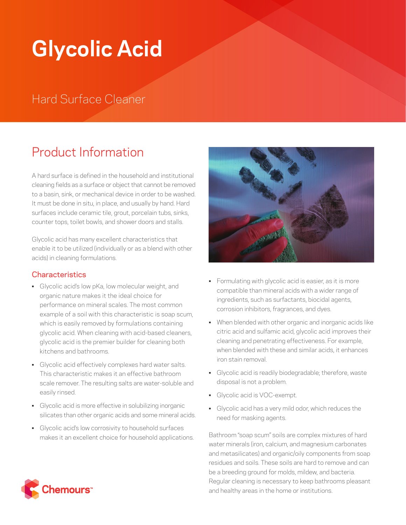# **Glycolic Acid**

# Hard Surface Cleaner

# Product Information

A hard surface is defined in the household and institutional cleaning fields as a surface or object that cannot be removed to a basin, sink, or mechanical device in order to be washed. It must be done in situ, in place, and usually by hand. Hard surfaces include ceramic tile, grout, porcelain tubs, sinks, counter tops, toilet bowls, and shower doors and stalls.

Glycolic acid has many excellent characteristics that enable it to be utilized (individually or as a blend with other acids) in cleaning formulations.

## **Characteristics**

- Glycolic acid's low pKa, low molecular weight, and organic nature makes it the ideal choice for performance on mineral scales. The most common example of a soil with this characteristic is soap scum, which is easily removed by formulations containing glycolic acid. When cleaning with acid-based cleaners, glycolic acid is the premier builder for cleaning both kitchens and bathrooms.
- Glycolic acid effectively complexes hard water salts. This characteristic makes it an effective bathroom scale remover. The resulting salts are water-soluble and easily rinsed.
- Glycolic acid is more effective in solubilizing inorganic silicates than other organic acids and some mineral acids.
- Glycolic acid's low corrosivity to household surfaces makes it an excellent choice for household applications.



- Formulating with glycolic acid is easier, as it is more compatible than mineral acids with a wider range of ingredients, such as surfactants, biocidal agents, corrosion inhibitors, fragrances, and dyes.
- When blended with other organic and inorganic acids like citric acid and sulfamic acid, glycolic acid improves their cleaning and penetrating effectiveness. For example, when blended with these and similar acids, it enhances iron stain removal.
- Glycolic acid is readily biodegradable; therefore, waste disposal is not a problem.
- Glycolic acid is VOC-exempt.
- Glycolic acid has a very mild odor, which reduces the need for masking agents.

Bathroom "soap scum" soils are complex mixtures of hard water minerals (iron, calcium, and magnesium carbonates and metasilicates) and organic/oily components from soap residues and soils. These soils are hard to remove and can be a breeding ground for molds, mildew, and bacteria. Regular cleaning is necessary to keep bathrooms pleasant and healthy areas in the home or institutions.